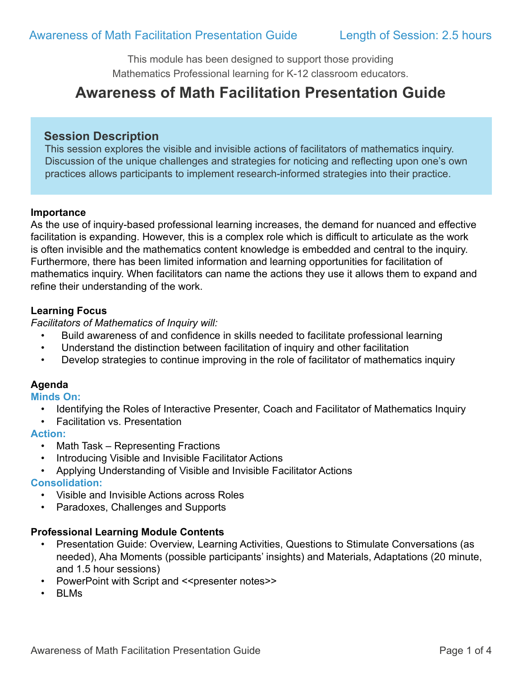This module has been designed to support those providing Mathematics Professional learning for K-12 classroom educators.

# **Awareness of Math Facilitation Presentation Guide**

## **Session Description**

 This session explores the visible and invisible actions of facilitators of mathematics inquiry. Discussion of the unique challenges and strategies for noticing and reflecting upon one's own practices allows participants to implement research-informed strategies into their practice.

#### **Importance**

As the use of inquiry-based professional learning increases, the demand for nuanced and effective facilitation is expanding. However, this is a complex role which is difficult to articulate as the work is often invisible and the mathematics content knowledge is embedded and central to the inquiry. Furthermore, there has been limited information and learning opportunities for facilitation of mathematics inquiry. When facilitators can name the actions they use it allows them to expand and refine their understanding of the work.

#### **Learning Focus**

*Facilitators of Mathematics of Inquiry will:*

- Build awareness of and confidence in skills needed to facilitate professional learning
- Understand the distinction between facilitation of inquiry and other facilitation
- Develop strategies to continue improving in the role of facilitator of mathematics inquiry

## **Agenda**

#### **Minds On:**

- Identifying the Roles of Interactive Presenter, Coach and Facilitator of Mathematics Inquiry
- Facilitation vs. Presentation

#### **Action:**

- Math Task Representing Fractions
- Introducing Visible and Invisible Facilitator Actions
- Applying Understanding of Visible and Invisible Facilitator Actions

## **Consolidation:**

- Visible and Invisible Actions across Roles
- Paradoxes, Challenges and Supports

## **Professional Learning Module Contents**

- Presentation Guide: Overview, Learning Activities, Questions to Stimulate Conversations (as needed), Aha Moments (possible participants' insights) and Materials, Adaptations (20 minute, and 1.5 hour sessions)
- PowerPoint with Script and <<presenter notes>>
- BLMs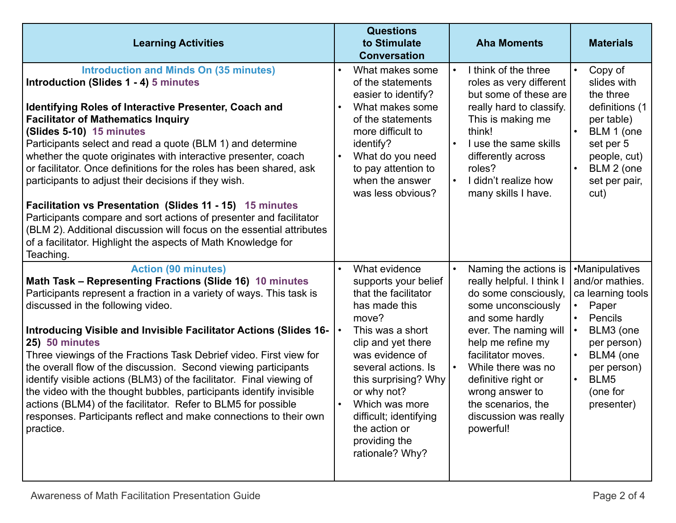| <b>Learning Activities</b>                                                                                                                                                                                                                                                                                                                                                                                                                                                                                                                                                                                                                                                                                                                                                              | <b>Questions</b><br>to Stimulate<br><b>Conversation</b>                                                                                                                                                                                                                                                             | <b>Aha Moments</b>                                                                                                                                                                                                                                                                                                  | <b>Materials</b>                                                                                                                                                                  |
|-----------------------------------------------------------------------------------------------------------------------------------------------------------------------------------------------------------------------------------------------------------------------------------------------------------------------------------------------------------------------------------------------------------------------------------------------------------------------------------------------------------------------------------------------------------------------------------------------------------------------------------------------------------------------------------------------------------------------------------------------------------------------------------------|---------------------------------------------------------------------------------------------------------------------------------------------------------------------------------------------------------------------------------------------------------------------------------------------------------------------|---------------------------------------------------------------------------------------------------------------------------------------------------------------------------------------------------------------------------------------------------------------------------------------------------------------------|-----------------------------------------------------------------------------------------------------------------------------------------------------------------------------------|
| <b>Introduction and Minds On (35 minutes)</b><br>Introduction (Slides 1 - 4) 5 minutes<br><b>Identifying Roles of Interactive Presenter, Coach and</b><br><b>Facilitator of Mathematics Inquiry</b><br>(Slides 5-10) 15 minutes<br>Participants select and read a quote (BLM 1) and determine<br>whether the quote originates with interactive presenter, coach<br>or facilitator. Once definitions for the roles has been shared, ask<br>participants to adjust their decisions if they wish.<br>Facilitation vs Presentation (Slides 11 - 15) 15 minutes<br>Participants compare and sort actions of presenter and facilitator<br>(BLM 2). Additional discussion will focus on the essential attributes<br>of a facilitator. Highlight the aspects of Math Knowledge for<br>Teaching. | What makes some<br>of the statements<br>easier to identify?<br>What makes some<br>of the statements<br>more difficult to<br>identify?<br>What do you need<br>to pay attention to<br>when the answer<br>was less obvious?                                                                                            | I think of the three<br>roles as very different<br>but some of these are<br>really hard to classify.<br>This is making me<br>think!<br>I use the same skills<br>differently across<br>roles?<br>I didn't realize how<br>many skills I have.                                                                         | Copy of<br>slides with<br>the three<br>definitions (1<br>per table)<br>BLM 1 (one<br>set per 5<br>people, cut)<br>BLM 2 (one<br>set per pair,<br>cut)                             |
| <b>Action (90 minutes)</b><br>Math Task - Representing Fractions (Slide 16) 10 minutes<br>Participants represent a fraction in a variety of ways. This task is<br>discussed in the following video.<br>Introducing Visible and Invisible Facilitator Actions (Slides 16-<br>25) 50 minutes<br>Three viewings of the Fractions Task Debrief video. First view for<br>the overall flow of the discussion. Second viewing participants<br>identify visible actions (BLM3) of the facilitator. Final viewing of<br>the video with the thought bubbles, participants identify invisible<br>actions (BLM4) of the facilitator. Refer to BLM5 for possible<br>responses. Participants reflect and make connections to their own<br>practice.                                                   | What evidence<br>supports your belief<br>that the facilitator<br>has made this<br>move?<br>This was a short<br>clip and yet there<br>was evidence of<br>several actions. Is<br>this surprising? Why<br>or why not?<br>Which was more<br>difficult; identifying<br>the action or<br>providing the<br>rationale? Why? | Naming the actions is<br>really helpful. I think I<br>do some consciously,<br>some unconsciously<br>and some hardly<br>ever. The naming will<br>help me refine my<br>facilitator moves.<br>While there was no<br>definitive right or<br>wrong answer to<br>the scenarios, the<br>discussion was really<br>powerful! | •Manipulatives<br>and/or mathies.<br>ca learning tools<br>Paper<br>Pencils<br>BLM3 (one<br>per person)<br>BLM4 (one<br>per person)<br>BLM5<br>$\bullet$<br>(one for<br>presenter) |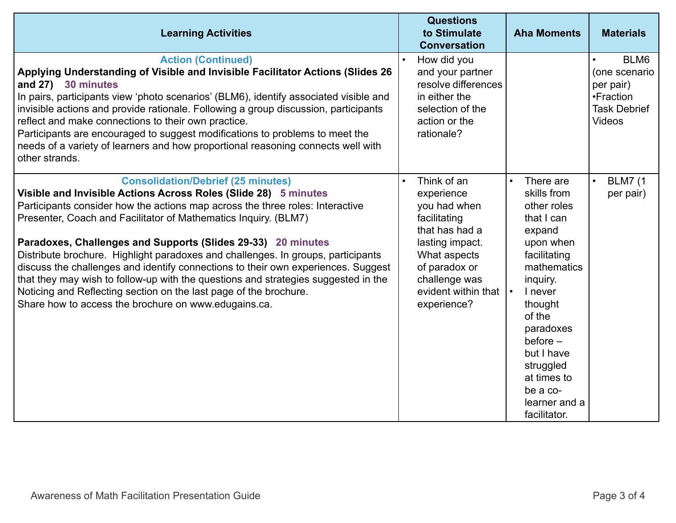| <b>Learning Activities</b>                                                                                                                                                                                                                                                                                                                                                                                                                                                                                                                                                                                                                                                                                                   | <b>Questions</b><br>to Stimulate<br><b>Conversation</b>                                                                                                                                | <b>Aha Moments</b>                                                                                                                                                                                                                                                        | <b>Materials</b>                                                                        |
|------------------------------------------------------------------------------------------------------------------------------------------------------------------------------------------------------------------------------------------------------------------------------------------------------------------------------------------------------------------------------------------------------------------------------------------------------------------------------------------------------------------------------------------------------------------------------------------------------------------------------------------------------------------------------------------------------------------------------|----------------------------------------------------------------------------------------------------------------------------------------------------------------------------------------|---------------------------------------------------------------------------------------------------------------------------------------------------------------------------------------------------------------------------------------------------------------------------|-----------------------------------------------------------------------------------------|
| <b>Action (Continued)</b><br>Applying Understanding of Visible and Invisible Facilitator Actions (Slides 26<br>and 27) 30 minutes<br>In pairs, participants view 'photo scenarios' (BLM6), identify associated visible and<br>invisible actions and provide rationale. Following a group discussion, participants<br>reflect and make connections to their own practice.<br>Participants are encouraged to suggest modifications to problems to meet the<br>needs of a variety of learners and how proportional reasoning connects well with<br>other strands.                                                                                                                                                               | How did you<br>and your partner<br>resolve differences<br>in either the<br>selection of the<br>action or the<br>rationale?                                                             |                                                                                                                                                                                                                                                                           | BLM6<br>(one scenario<br>per pair)<br>•Fraction<br><b>Task Debrief</b><br><b>Videos</b> |
| <b>Consolidation/Debrief (25 minutes)</b><br>Visible and Invisible Actions Across Roles (Slide 28) 5 minutes<br>Participants consider how the actions map across the three roles: Interactive<br>Presenter, Coach and Facilitator of Mathematics Inquiry. (BLM7)<br>Paradoxes, Challenges and Supports (Slides 29-33) 20 minutes<br>Distribute brochure. Highlight paradoxes and challenges. In groups, participants<br>discuss the challenges and identify connections to their own experiences. Suggest<br>that they may wish to follow-up with the questions and strategies suggested in the<br>Noticing and Reflecting section on the last page of the brochure.<br>Share how to access the brochure on www.edugains.ca. | Think of an<br>experience<br>you had when<br>facilitating<br>that has had a<br>lasting impact.<br>What aspects<br>of paradox or<br>challenge was<br>evident within that<br>experience? | There are<br>skills from<br>other roles<br>that I can<br>expand<br>upon when<br>facilitating<br>mathematics<br>inquiry.<br>I never<br>thought<br>of the<br>paradoxes<br>before $-$<br>but I have<br>struggled<br>at times to<br>be a co-<br>learner and a<br>facilitator. | <b>BLM7</b> (1<br>per pair)                                                             |